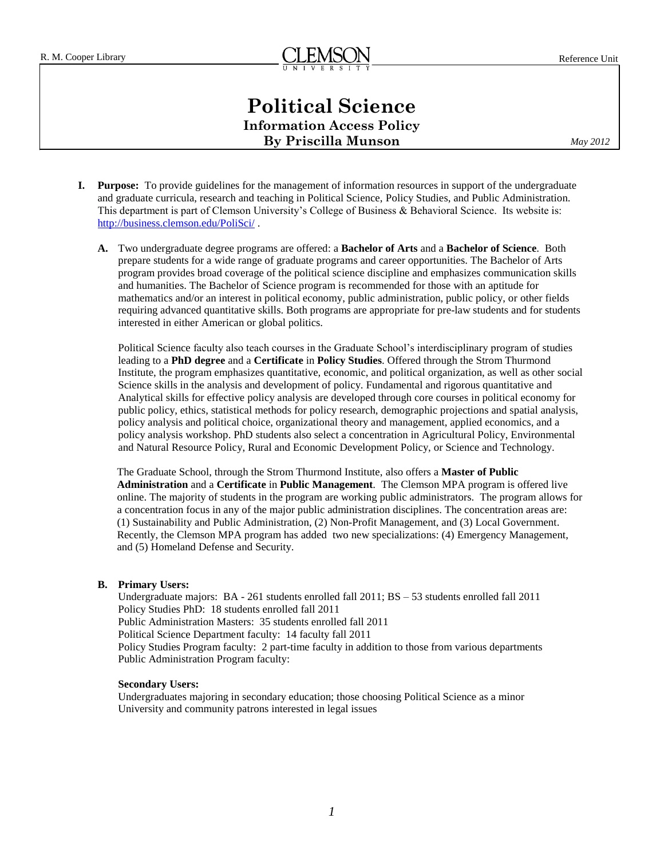# **Political Science Information Access Policy By Priscilla Munson**

*May 2012*

- **I. Purpose:** To provide guidelines for the management of information resources in support of the undergraduate and graduate curricula, research and teaching in Political Science, Policy Studies, and Public Administration. This department is part of Clemson University's College of Business & Behavioral Science. Its website is: <http://business.clemson.edu/PoliSci/> .
	- **A.** Two undergraduate degree programs are offered: a **Bachelor of Arts** and a **Bachelor of Science**. Both prepare students for a wide range of graduate programs and career opportunities. The Bachelor of Arts program provides broad coverage of the political science discipline and emphasizes communication skills and humanities. The Bachelor of Science program is recommended for those with an aptitude for mathematics and/or an interest in political economy, public administration, public policy, or other fields requiring advanced quantitative skills. Both programs are appropriate for pre-law students and for students interested in either American or global politics.

Political Science faculty also teach courses in the Graduate School's interdisciplinary program of studies leading to a **PhD degree** and a **Certificate** in **Policy Studies**. Offered through the Strom Thurmond Institute, the program emphasizes quantitative, economic, and political organization, as well as other social Science skills in the analysis and development of policy. Fundamental and rigorous quantitative and Analytical skills for effective policy analysis are developed through core courses in political economy for public policy, ethics, statistical methods for policy research, demographic projections and spatial analysis, policy analysis and political choice, organizational theory and management, applied economics, and a policy analysis workshop. PhD students also select a concentration in Agricultural Policy, Environmental and Natural Resource Policy, Rural and Economic Development Policy, or Science and Technology.

The Graduate School, through the Strom Thurmond Institute, also offers a **Master of Public Administration** and a **Certificate** in **Public Management**. The Clemson MPA program is offered live online. The majority of students in the program are working public administrators. The program allows for a concentration focus in any of the major public administration disciplines. The concentration areas are: (1) Sustainability [and Public Administration,](http://www.grad.clemson.edu/mpa/specializations.php?p=SU) (2) [Non-Profit Management,](http://www.grad.clemson.edu/mpa/specializations.php?p=NP) and (3) [Local Government.](http://www.grad.clemson.edu/mpa/specializations.php?p=LG) Recently, the Clemson MPA program has added two new specializations: (4[\) Emergency Management,](http://www.grad.clemson.edu/mpa/specializations.php?p=EM) and (5) Homeland [Defense and Security.](http://www.grad.clemson.edu/mpa/specializations.php?p=HS)

## **B. Primary Users:**

Undergraduate majors: BA - 261 students enrolled fall 2011; BS – 53 students enrolled fall 2011 Policy Studies PhD: 18 students enrolled fall 2011 Public Administration Masters: 35 students enrolled fall 2011 Political Science Department faculty: 14 faculty fall 2011 Policy Studies Program faculty: 2 part-time faculty in addition to those from various departments Public Administration Program faculty:

#### **Secondary Users:**

Undergraduates majoring in secondary education; those choosing Political Science as a minor University and community patrons interested in legal issues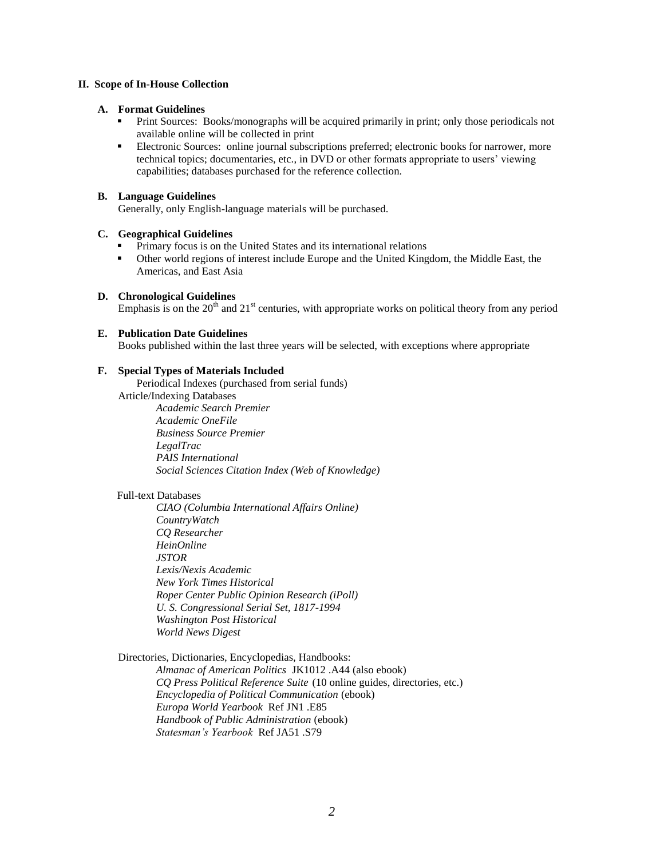## **II. Scope of In-House Collection**

#### **A. Format Guidelines**

- Print Sources: Books/monographs will be acquired primarily in print; only those periodicals not available online will be collected in print
- Electronic Sources: online journal subscriptions preferred; electronic books for narrower, more technical topics; documentaries, etc., in DVD or other formats appropriate to users' viewing capabilities; databases purchased for the reference collection.

## **B. Language Guidelines**

Generally, only English-language materials will be purchased.

## **C. Geographical Guidelines**

- Primary focus is on the United States and its international relations
- Other world regions of interest include Europe and the United Kingdom, the Middle East, the Americas, and East Asia

## **D. Chronological Guidelines**

Emphasis is on the  $20<sup>th</sup>$  and  $21<sup>st</sup>$  centuries, with appropriate works on political theory from any period

## **E. Publication Date Guidelines**

Books published within the last three years will be selected, with exceptions where appropriate

## **F. Special Types of Materials Included**

Periodical Indexes (purchased from serial funds) Article/Indexing Databases *Academic Search Premier*

*Academic OneFile Business Source Premier LegalTrac PAIS International Social Sciences Citation Index (Web of Knowledge)*

# Full-text Databases

*CIAO (Columbia International Affairs Online) CountryWatch CQ Researcher HeinOnline JSTOR Lexis/Nexis Academic New York Times Historical Roper Center Public Opinion Research (iPoll) U. S. Congressional Serial Set, 1817-1994 Washington Post Historical World News Digest*

#### Directories, Dictionaries, Encyclopedias, Handbooks:

*Almanac of American Politics* JK1012 .A44 (also ebook) *CQ Press Political Reference Suite* (10 online guides, directories, etc.) *Encyclopedia of Political Communication* (ebook) *Europa World Yearbook* Ref JN1 .E85 *Handbook of Public Administration* (ebook) *Statesman's Yearbook* Ref JA51 .S79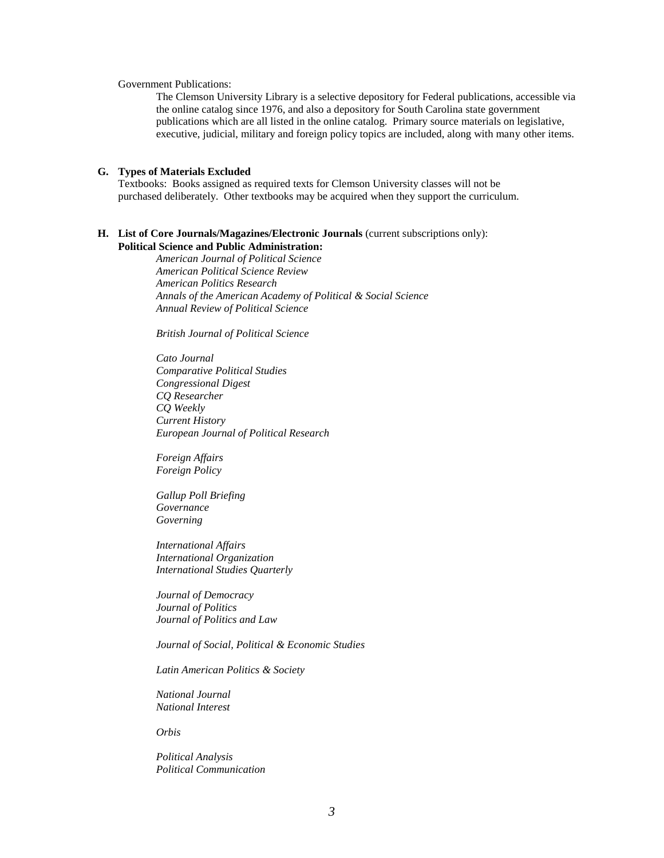Government Publications:

The Clemson University Library is a selective depository for Federal publications, accessible via the online catalog since 1976, and also a depository for South Carolina state government publications which are all listed in the online catalog. Primary source materials on legislative, executive, judicial, military and foreign policy topics are included, along with many other items.

## **G. Types of Materials Excluded**

Textbooks: Books assigned as required texts for Clemson University classes will not be purchased deliberately. Other textbooks may be acquired when they support the curriculum.

#### **H. List of Core Journals/Magazines/Electronic Journals** (current subscriptions only): **Political Science and Public Administration:**

*American Journal of Political Science American Political Science Review American Politics Research Annals of the American Academy of Political & Social Science Annual Review of Political Science*

*British Journal of Political Science*

*Cato Journal Comparative Political Studies Congressional Digest CQ Researcher CQ Weekly Current History European Journal of Political Research*

*Foreign Affairs Foreign Policy*

*Gallup Poll Briefing Governance Governing*

*International Affairs International Organization International Studies Quarterly*

*Journal of Democracy Journal of Politics Journal of Politics and Law*

*Journal of Social, Political & Economic Studies*

*Latin American Politics & Society*

*National Journal National Interest*

*Orbis*

*Political Analysis Political Communication*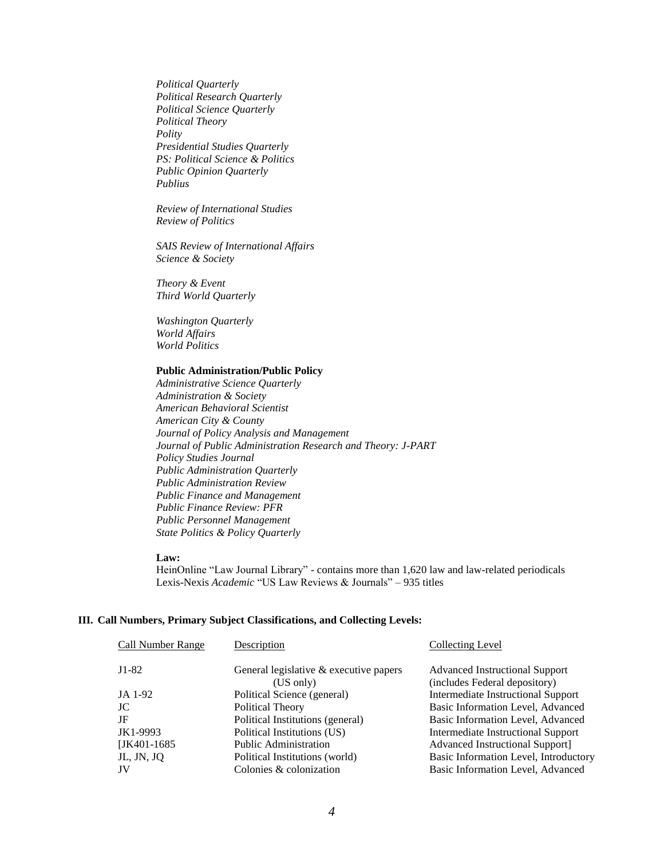*Political Quarterly Political Research Quarterly Political Science Quarterly Political Theory Polity Presidential Studies Quarterly PS: Political Science & Politics Public Opinion Quarterly Publius*

*Review of International Studies Review of Politics*

*SAIS Review of International Affairs Science & Society*

*Theory & Event Third World Quarterly*

*Washington Quarterly World Affairs World Politics*

#### **Public Administration/Public Policy**

*Administrative Science Quarterly Administration & Society American Behavioral Scientist American City & County Journal of Policy Analysis and Management Journal of Public Administration Research and Theory: J-PART Policy Studies Journal Public Administration Quarterly Public Administration Review Public Finance and Management Public Finance Review: PFR Public Personnel Management State Politics & Policy Quarterly*

#### **Law:**

HeinOnline "Law Journal Library" - contains more than 1,620 law and law-related periodicals Lexis-Nexis *Academic* "US Law Reviews & Journals" – 935 titles

#### **III. Call Numbers, Primary Subject Classifications, and Collecting Levels:**

| <b>Call Number Range</b> | Description                                           | Collecting Level                                                       |
|--------------------------|-------------------------------------------------------|------------------------------------------------------------------------|
| $J1-82$                  | General legislative $&$ executive papers<br>(US only) | <b>Advanced Instructional Support</b><br>(includes Federal depository) |
| JA 1-92                  | Political Science (general)                           | <b>Intermediate Instructional Support</b>                              |
| JC                       | Political Theory                                      | Basic Information Level, Advanced                                      |
| JF                       | Political Institutions (general)                      | Basic Information Level, Advanced                                      |
| JK1-9993                 | Political Institutions (US)                           | Intermediate Instructional Support                                     |
| $[JK401-1685]$           | <b>Public Administration</b>                          | <b>Advanced Instructional Support]</b>                                 |
| JL, JN, JQ               | Political Institutions (world)                        | Basic Information Level, Introductory                                  |
| JV                       | Colonies & colonization                               | Basic Information Level, Advanced                                      |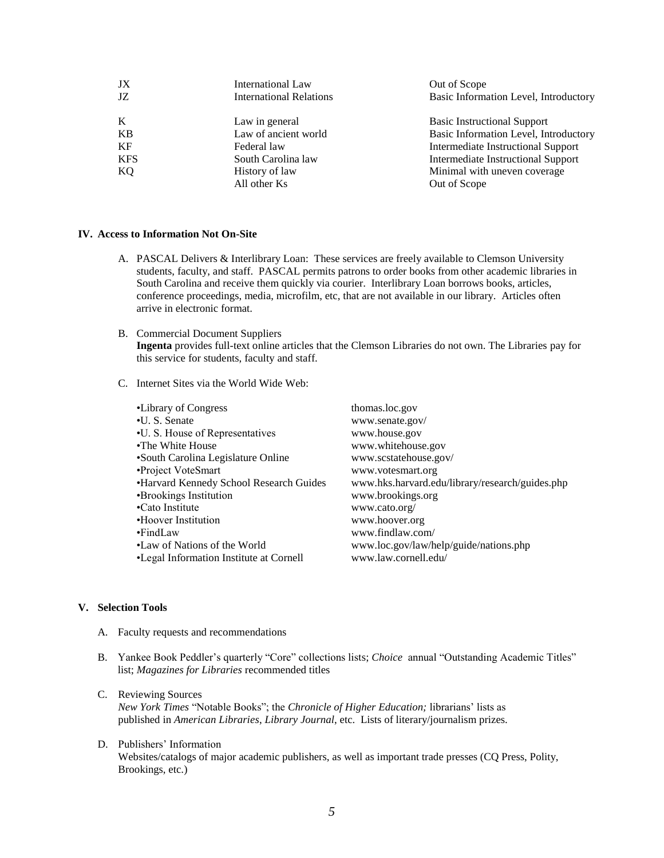| JX<br>JZ.  | International Law<br><b>International Relations</b> | Out of Scope<br>Basic Information Level, Introductory |
|------------|-----------------------------------------------------|-------------------------------------------------------|
| K          | Law in general                                      | <b>Basic Instructional Support</b>                    |
| KB         | Law of ancient world                                | Basic Information Level, Introductory                 |
| KF         | Federal law                                         | Intermediate Instructional Support                    |
| <b>KFS</b> | South Carolina law                                  | Intermediate Instructional Support                    |
| KQ.        | History of law                                      | Minimal with uneven coverage                          |
|            | All other Ks                                        | Out of Scope                                          |

#### **IV. Access to Information Not On-Site**

- A. PASCAL Delivers & Interlibrary Loan: These services are freely available to Clemson University students, faculty, and staff. PASCAL permits patrons to order books from other academic libraries in South Carolina and receive them quickly via courier. Interlibrary Loan borrows books, articles, conference proceedings, media, microfilm, etc, that are not available in our library. Articles often arrive in electronic format.
- B. Commercial Document Suppliers **Ingenta** provides full-text online articles that the Clemson Libraries do not own. The Libraries pay for this service for students, faculty and staff.
- C. Internet Sites via the World Wide Web:

| •Library of Congress                    | thomas.loc.gov                                  |
|-----------------------------------------|-------------------------------------------------|
| •U. S. Senate                           | www.senate.gov/                                 |
| •U. S. House of Representatives         | www.house.gov                                   |
| •The White House                        | www.whitehouse.gov                              |
| •South Carolina Legislature Online      | www.scstatehouse.gov/                           |
| •Project VoteSmart                      | www.votesmart.org                               |
| •Harvard Kennedy School Research Guides | www.hks.harvard.edu/library/research/guides.php |
| •Brookings Institution                  | www.brookings.org                               |
| •Cato Institute                         | www.cato.org/                                   |
| •Hoover Institution                     | www.hoover.org                                  |
| $\cdot$ FindLaw                         | www.findlaw.com/                                |
| •Law of Nations of the World            | www.loc.gov/law/help/guide/nations.php          |
| •Legal Information Institute at Cornell | www.law.cornell.edu/                            |
|                                         |                                                 |

# **V. Selection Tools**

- A. Faculty requests and recommendations
- B. Yankee Book Peddler's quarterly "Core" collections lists; *Choice* annual "Outstanding Academic Titles" list; *Magazines for Libraries* recommended titles
- C. Reviewing Sources *New York Times* "Notable Books"; the *Chronicle of Higher Education;* librarians' lists as published in *American Libraries*, *Library Journal*, etc. Lists of literary/journalism prizes.
- D. Publishers' Information Websites/catalogs of major academic publishers, as well as important trade presses (CQ Press, Polity, Brookings, etc.)